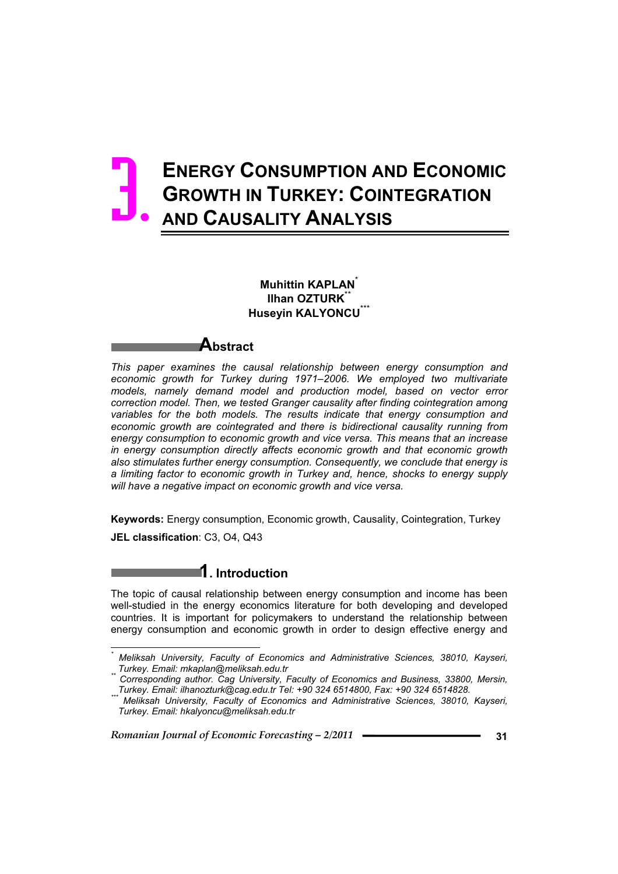# **ENERGY CONSUMPTION AND ECONOMIC GROWTH IN TURKEY: COINTEGRATION AND CAUSALITY ANALYSIS** 3.

**Muhittin KAPLAN**\* **Ilhan OZTURK<sup>\*\*</sup> Husevin KALYONCU** 

# **Abstract**

*This paper examines the causal relationship between energy consumption and economic growth for Turkey during 1971–2006. We employed two multivariate models, namely demand model and production model, based on vector error correction model. Then, we tested Granger causality after finding cointegration among*  variables for the both models. The results indicate that energy consumption and economic growth are cointegrated and there is bidirectional causality running from *energy consumption to economic growth and vice versa. This means that an increase in energy consumption directly affects economic growth and that economic growth also stimulates further energy consumption. Consequently, we conclude that energy is a limiting factor to economic growth in Turkey and, hence, shocks to energy supply will have a negative impact on economic growth and vice versa.* 

**Keywords:** Energy consumption, Economic growth, Causality, Cointegration, Turkey **JEL classification**: C3, O4, Q43

The topic of causal relationship between energy consumption and income has been well-studied in the energy economics literature for both developing and developed countries. It is important for policymakers to understand the relationship between energy consumption and economic growth in order to design effective energy and

*Romanian Journal of Economic Forecasting – 2/2011* **31**

 $\overline{a}$ 

**1. Introduction** 

*<sup>\*</sup>*  $^{\star}$  Meliksah University, Faculty of Economics and Administrative Sciences, 38010, Kayseri,<br>.. Turkey. Email: mkaplan@meliksah.edu.tr

*Turkey. Email: mkaplan@meliksah.edu.tr \*\* Corresponding author. Cag University, Faculty of Economics and Business, 33800, Mersin,* 

*Meliksah University, Faculty of Economics and Administrative Sciences, 38010, Kayseri, Turkey. Email: hkalyoncu@meliksah.edu.tr*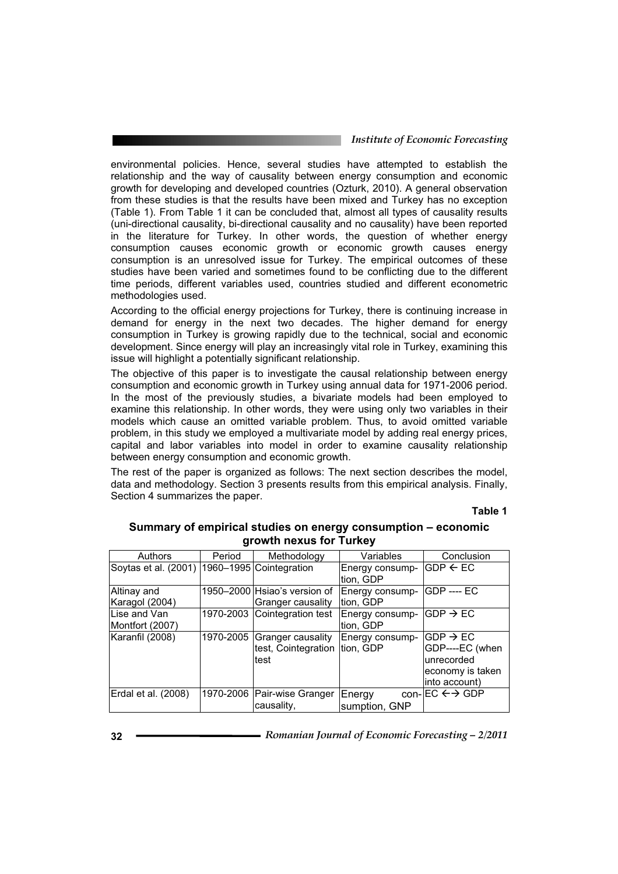#### *Institute of Economic Forecasting*

environmental policies. Hence, several studies have attempted to establish the relationship and the way of causality between energy consumption and economic growth for developing and developed countries (Ozturk, 2010). A general observation from these studies is that the results have been mixed and Turkey has no exception (Table 1). From Table 1 it can be concluded that, almost all types of causality results (uni-directional causality, bi-directional causality and no causality) have been reported in the literature for Turkey. In other words, the question of whether energy consumption causes economic growth or economic growth causes energy consumption is an unresolved issue for Turkey. The empirical outcomes of these studies have been varied and sometimes found to be conflicting due to the different time periods, different variables used, countries studied and different econometric methodologies used.

According to the official energy projections for Turkey, there is continuing increase in demand for energy in the next two decades. The higher demand for energy consumption in Turkey is growing rapidly due to the technical, social and economic development. Since energy will play an increasingly vital role in Turkey, examining this issue will highlight a potentially significant relationship.

The objective of this paper is to investigate the causal relationship between energy consumption and economic growth in Turkey using annual data for 1971-2006 period. In the most of the previously studies, a bivariate models had been employed to examine this relationship. In other words, they were using only two variables in their models which cause an omitted variable problem. Thus, to avoid omitted variable problem, in this study we employed a multivariate model by adding real energy prices, capital and labor variables into model in order to examine causality relationship between energy consumption and economic growth.

The rest of the paper is organized as follows: The next section describes the model, data and methodology. Section 3 presents results from this empirical analysis. Finally, Section 4 summarizes the paper.

**Table 1** 

| Authors                                        | Period    | Methodology                  | Variables       | Conclusion                           |
|------------------------------------------------|-----------|------------------------------|-----------------|--------------------------------------|
| Soytas et al. (2001)   1960-1995 Cointegration |           |                              | Energy consump- | IGDP ← EC                            |
|                                                |           |                              | tion, GDP       |                                      |
| Altinay and                                    |           | 1950-2000 Hsiao's version of | Energy consump- | IGDP ---- EC                         |
| Karagol (2004)                                 |           | Granger causality            | tion, GDP       |                                      |
| Lise and Van                                   |           | 1970-2003 Cointegration test | Energy consump- | $\mathsf{IGDP} \to \mathsf{EC}$      |
| Montfort (2007)                                |           |                              | tion, GDP       |                                      |
| Karanfil (2008)                                | 1970-2005 | Granger causality            | Energy consump- | $\mathsf{GDP}\rightarrow\mathsf{EC}$ |
|                                                |           | test, Cointegration          | tion, GDP       | GDP----EC (when                      |
|                                                |           | test                         |                 | lunrecorded                          |
|                                                |           |                              |                 | economy is taken                     |
|                                                |           |                              |                 | into account)                        |
| Erdal et al. (2008)                            |           | 1970-2006 Pair-wise Granger  | Energy          | con- $EC \leftrightarrow$ GDP        |
|                                                |           | causality,                   | sumption, GNP   |                                      |

#### **Summary of empirical studies on energy consumption – economic growth nexus for Turkey**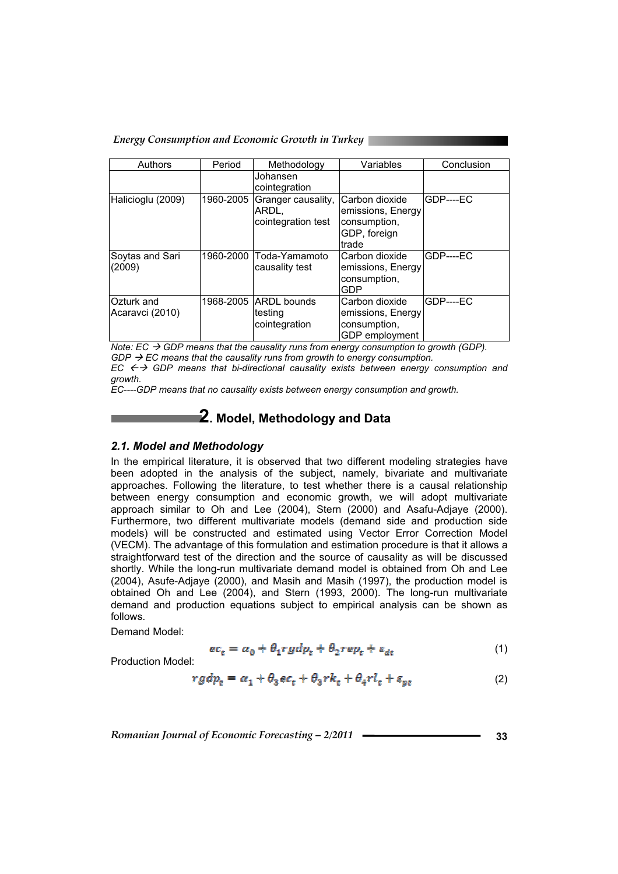*Energy Consumption and Economic Growth in Turkey* 

| Authors                       | Period    | Methodology                                                 | Variables                                                                    | Conclusion |
|-------------------------------|-----------|-------------------------------------------------------------|------------------------------------------------------------------------------|------------|
|                               |           | Johansen<br>cointegration                                   |                                                                              |            |
| Halicioglu (2009)             |           | 1960-2005 Granger causality,<br>ARDL.<br>cointegration test | Carbon dioxide<br>emissions, Energy<br>consumption,<br>GDP, foreign<br>trade | GDP----EC  |
| Soytas and Sari<br>(2009)     |           | 1960-2000 Toda-Yamamoto<br>causality test                   | Carbon dioxide<br>emissions, Energy<br>consumption,<br><b>GDP</b>            | $GDP---FC$ |
| Ozturk and<br>Acaravci (2010) | 1968-2005 | <b>ARDL</b> bounds<br>∣testinq<br>cointegration             | Carbon dioxide<br>emissions, Energy<br>consumption,<br>GDP employment        | $GDP---EC$ |

*Note:*  $EC \rightarrow GDP$  means that the causality runs from energy consumption to growth (GDP).  $GDP \rightarrow EC$  means that the causality runs from growth to energy consumption.  $EC \leftrightarrow GDP$  means that bi-directional causality exists between energy consumption and *growth.* 

*EC----GDP means that no causality exists between energy consumption and growth.* 

# **2. Model, Methodology and Data**

#### *2.1. Model and Methodology*

In the empirical literature, it is observed that two different modeling strategies have been adopted in the analysis of the subject, namely, bivariate and multivariate approaches. Following the literature, to test whether there is a causal relationship between energy consumption and economic growth, we will adopt multivariate approach similar to Oh and Lee (2004), Stern (2000) and Asafu-Adjaye (2000). Furthermore, two different multivariate models (demand side and production side models) will be constructed and estimated using Vector Error Correction Model (VECM). The advantage of this formulation and estimation procedure is that it allows a straightforward test of the direction and the source of causality as will be discussed shortly. While the long-run multivariate demand model is obtained from Oh and Lee (2004), Asufe-Adjaye (2000), and Masih and Masih (1997), the production model is obtained Oh and Lee (2004), and Stern (1993, 2000). The long-run multivariate demand and production equations subject to empirical analysis can be shown as follows.

Demand Model:

$$
ec_{z} = a_{0} + \theta_{1} r g dp_{t} + \theta_{2} r e p_{t} + \varepsilon_{dt}
$$
\n<sup>(1)</sup>

Production Model:

$$
rgdp_t = \alpha_1 + \theta_3 e c_t + \theta_3 r k_t + \theta_4 r l_t + \varepsilon_{pt} \tag{2}
$$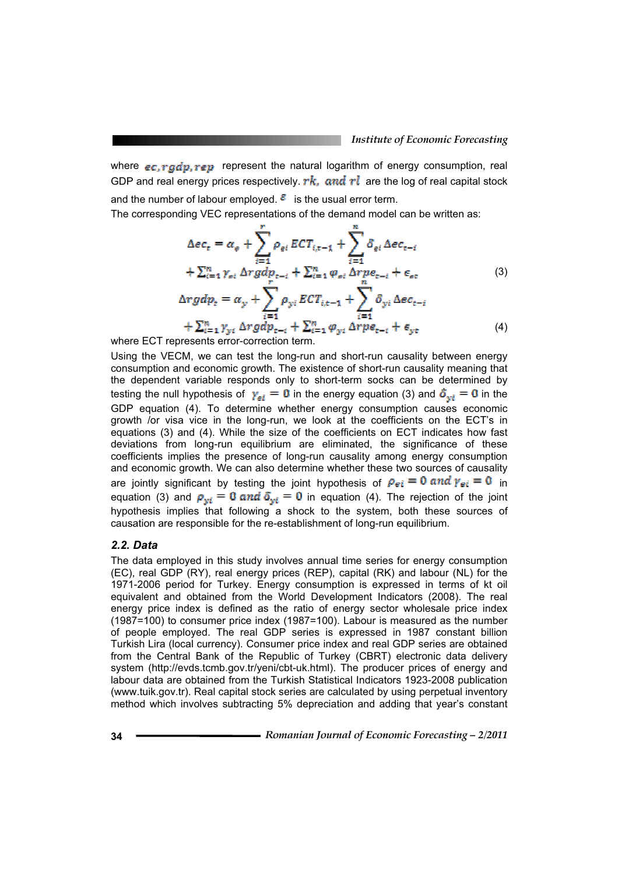where  $ec, rgdp, rep$  represent the natural logarithm of energy consumption, real GDP and real energy prices respectively.  $rk$ , and  $rl$  are the log of real capital stock and the number of labour employed.  $\epsilon$  is the usual error term.

The corresponding VEC representations of the demand model can be written as:

$$
\Delta ec_{t} = \alpha_{e} + \sum_{i=1}^{r} \rho_{ei} ECT_{i,t-1} + \sum_{i=1}^{n} \delta_{ei} \Delta ec_{t-i} \n+ \sum_{i=1}^{n} \gamma_{ei} \Delta rgdp_{t-i} + \sum_{i=1}^{n} \varphi_{ei} \Delta repe_{t-i} + \epsilon_{ee} \n\Delta rgdp_{t} = \alpha_{y} + \sum_{i=1}^{n} \rho_{yi} ECT_{i,t-1} + \sum_{i=1}^{n} \delta_{yi} \Delta ec_{t-i} \n+ \sum_{i=1}^{n} \gamma_{yi} \Delta rgdp_{t-i} + \sum_{i=1}^{n} \varphi_{yi} \Delta repe_{t-i} + \epsilon_{ye}
$$
\n(4)

where ECT represents error-correction term.

Using the VECM, we can test the long-run and short-run causality between energy consumption and economic growth. The existence of short-run causality meaning that the dependent variable responds only to short-term socks can be determined by testing the null hypothesis of  $\gamma_{si} = 0$  in the energy equation (3) and  $\delta_{wi} = 0$  in the GDP equation (4). To determine whether energy consumption causes economic growth /or visa vice in the long-run, we look at the coefficients on the ECT's in equations (3) and (4). While the size of the coefficients on ECT indicates how fast deviations from long-run equilibrium are eliminated, the significance of these coefficients implies the presence of long-run causality among energy consumption and economic growth. We can also determine whether these two sources of causality are jointly significant by testing the joint hypothesis of  $\rho_{ei} = 0$  and  $\gamma_{ei} = 0$  in equation (3) and  $\rho_{wi} = 0$  and  $\delta_{wi} = 0$  in equation (4). The rejection of the joint hypothesis implies that following a shock to the system, both these sources of causation are responsible for the re-establishment of long-run equilibrium.

## *2.2. Data*

The data employed in this study involves annual time series for energy consumption (EC), real GDP (RY), real energy prices (REP), capital (RK) and labour (NL) for the 1971-2006 period for Turkey. Energy consumption is expressed in terms of kt oil equivalent and obtained from the World Development Indicators (2008). The real energy price index is defined as the ratio of energy sector wholesale price index (1987=100) to consumer price index (1987=100). Labour is measured as the number of people employed. The real GDP series is expressed in 1987 constant billion Turkish Lira (local currency). Consumer price index and real GDP series are obtained from the Central Bank of the Republic of Turkey (CBRT) electronic data delivery system (http://evds.tcmb.gov.tr/yeni/cbt-uk.html). The producer prices of energy and labour data are obtained from the Turkish Statistical Indicators 1923-2008 publication (www.tuik.gov.tr). Real capital stock series are calculated by using perpetual inventory method which involves subtracting 5% depreciation and adding that year's constant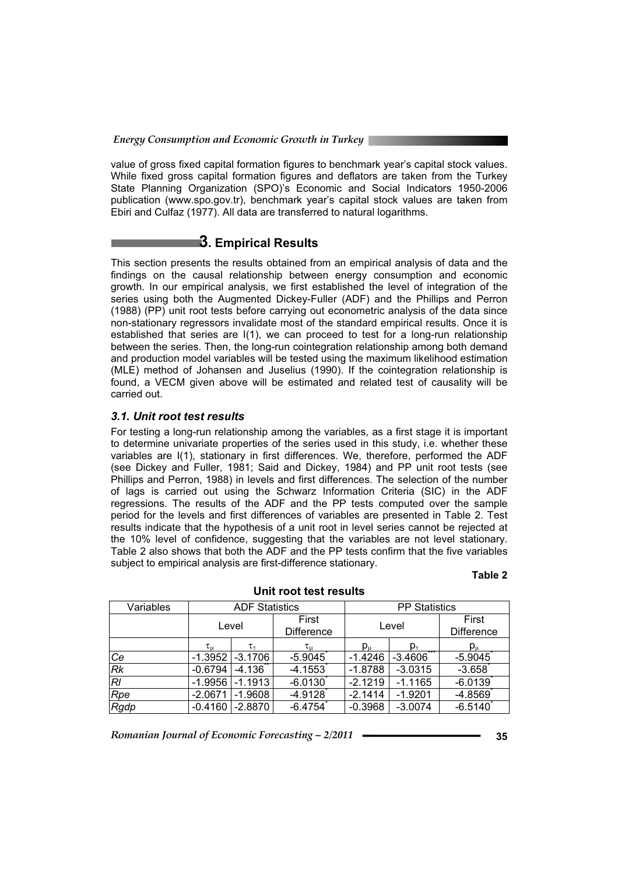value of gross fixed capital formation figures to benchmark year's capital stock values. While fixed gross capital formation figures and deflators are taken from the Turkey State Planning Organization (SPO)'s Economic and Social Indicators 1950-2006 publication (www.spo.gov.tr), benchmark year's capital stock values are taken from Ebiri and Culfaz (1977). All data are transferred to natural logarithms.

# **3. Empirical Results**

This section presents the results obtained from an empirical analysis of data and the findings on the causal relationship between energy consumption and economic growth. In our empirical analysis, we first established the level of integration of the series using both the Augmented Dickey-Fuller (ADF) and the Phillips and Perron (1988) (PP) unit root tests before carrying out econometric analysis of the data since non-stationary regressors invalidate most of the standard empirical results. Once it is established that series are I(1), we can proceed to test for a long-run relationship between the series. Then, the long-run cointegration relationship among both demand and production model variables will be tested using the maximum likelihood estimation (MLE) method of Johansen and Juselius (1990). If the cointegration relationship is found, a VECM given above will be estimated and related test of causality will be carried out.

## *3.1. Unit root test results*

For testing a long-run relationship among the variables, as a first stage it is important to determine univariate properties of the series used in this study, i.e. whether these variables are I(1), stationary in first differences. We, therefore, performed the ADF (see Dickey and Fuller, 1981; Said and Dickey, 1984) and PP unit root tests (see Phillips and Perron, 1988) in levels and first differences. The selection of the number of lags is carried out using the Schwarz Information Criteria (SIC) in the ADF regressions. The results of the ADF and the PP tests computed over the sample period for the levels and first differences of variables are presented in Table 2. Test results indicate that the hypothesis of a unit root in level series cannot be rejected at the 10% level of confidence, suggesting that the variables are not level stationary. Table 2 also shows that both the ADF and the PP tests confirm that the five variables subject to empirical analysis are first-difference stationary.

#### **Table 2**

| Variables |                               | <b>ADF Statistics</b> |                            | <b>PP Statistics</b> |                      |                            |
|-----------|-------------------------------|-----------------------|----------------------------|----------------------|----------------------|----------------------------|
|           | Level                         |                       | First<br><b>Difference</b> | Level                |                      | First<br><b>Difference</b> |
|           | $\tau_{\mu}$<br>$\tau_{\tau}$ |                       |                            | $p_{\mu}$            | $p_{\tau}$           | $p_\mu$                    |
| Ce        | $-1.3952$                     | $-3.1706$             | $-5.9045$                  | $-1.4246$            | $* * *$<br>$-3.4606$ | $-5.9045$                  |
| Rk        | $-0.6794$                     | $-4.136$              | $-4.1553$                  | $-1.8788$            | $-3.0315$            | $-3.658$                   |
| RI        | $-1.9956$                     | $-1.1913$             | $-6.0130$                  | $-2.1219$            | $-1.1165$            | $-6.0139$                  |
| Rpe       | $-2.0671$                     | $-1.9608$             | $-4.9128$                  | $-2.1414$            | $-1.9201$            | $-4.8569$                  |
| Rgdp      | $-0.4160$                     | $-2.8870$             | $-6.4754$                  | $-0.3968$            | $-3.0074$            | $-6.5140$                  |

#### **Unit root test results**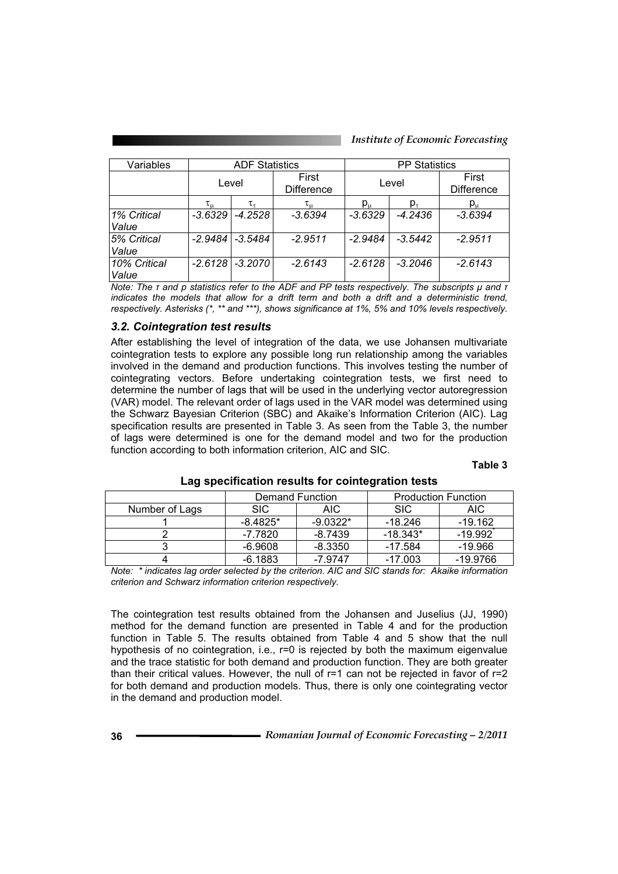| Variables             |              | <b>ADF Statistics</b> |                            | <b>PP Statistics</b> |            |                            |
|-----------------------|--------------|-----------------------|----------------------------|----------------------|------------|----------------------------|
|                       | Level        |                       | First<br><b>Difference</b> | Level                |            | First<br><b>Difference</b> |
|                       | $\tau_{\mu}$ | $\tau_\tau$           | $\tau_{\rm u}$             | ${\sf p_u}$          | $p_{\tau}$ | $p_\mu$                    |
| 1% Critical<br>Value  | $-3.6329$    | $-4.2528$             | $-3.6394$                  | $-3.6329$            | $-4.2436$  | $-3.6394$                  |
| 5% Critical<br>Value  | $-2.9484$    | $-3.5484$             | $-2.9511$                  | $-2.9484$            | $-3.5442$  | $-2.9511$                  |
| 10% Critical<br>Value | $-2.6128$    | $-3.2070$             | $-2.6143$                  | $-2.6128$            | $-3.2046$  | $-2.6143$                  |

*Note: The <i>I* and p statistics refer to the ADF and PP tests respectively. The subscripts  $\mu$  and  $\bar{\tau}$ indicates the models that allow for a drift term and both a drift and a deterministic trend, *respectively. Asterisks (\*, \*\* and \*\*\*), shows significance at 1%, 5% and 10% levels respectively.*

## *3.2. Cointegration test results*

After establishing the level of integration of the data, we use Johansen multivariate cointegration tests to explore any possible long run relationship among the variables involved in the demand and production functions. This involves testing the number of cointegrating vectors. Before undertaking cointegration tests, we first need to determine the number of lags that will be used in the underlying vector autoregression (VAR) model. The relevant order of lags used in the VAR model was determined using the Schwarz Bayesian Criterion (SBC) and Akaike's Information Criterion (AIC). Lag specification results are presented in Table 3. As seen from the Table 3, the number of lags were determined is one for the demand model and two for the production function according to both information criterion, AIC and SIC.

#### **Table 3**

|                |            | Demand Function | <b>Production Function</b> |           |  |
|----------------|------------|-----------------|----------------------------|-----------|--|
| Number of Lags | SIC.       | AIC.            | <b>SIC</b>                 | AIC.      |  |
|                | $-8.4825*$ | $-9.0322*$      | -18.246                    | $-19.162$ |  |
|                | -7.7820    | $-8.7439$       | $-18.343*$                 | $-19.992$ |  |
|                | $-6.9608$  | -8.3350         | -17.584                    | $-19.966$ |  |
|                | $-6.1883$  | $-7.9747$       | $-17.003$                  | -19.9766  |  |

#### **Lag specification results for cointegration tests**

*Note: \* indicates lag order selected by the criterion. AIC and SIC stands for: Akaike information criterion and Schwarz information criterion respectively.*

The cointegration test results obtained from the Johansen and Juselius (JJ, 1990) method for the demand function are presented in Table 4 and for the production function in Table 5. The results obtained from Table 4 and 5 show that the null hypothesis of no cointegration, i.e., r=0 is rejected by both the maximum eigenvalue and the trace statistic for both demand and production function. They are both greater than their critical values. However, the null of r=1 can not be rejected in favor of r=2 for both demand and production models. Thus, there is only one cointegrating vector in the demand and production model.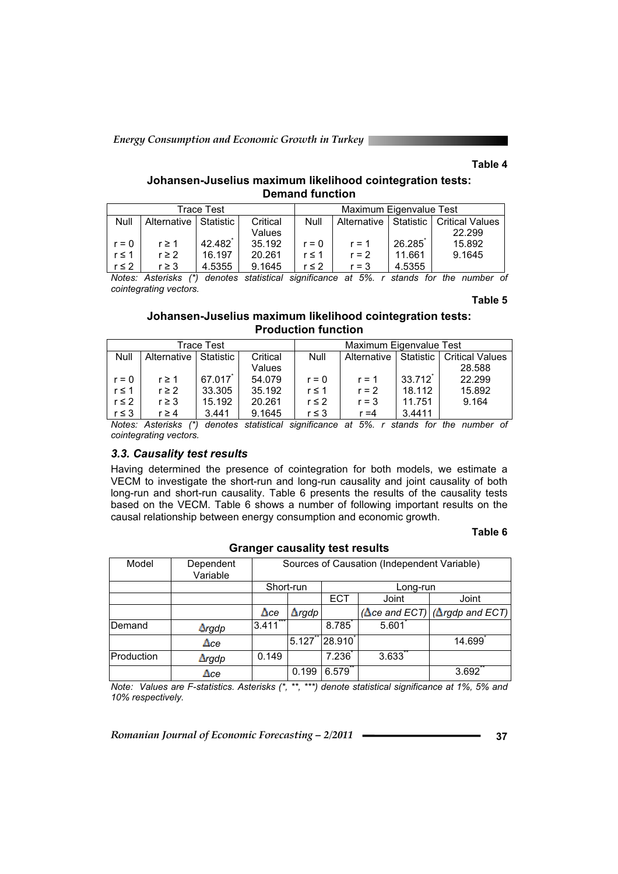*Energy Consumption and Economic Growth in Turkey* 

#### **Table 4**

### **Johansen-Juselius maximum likelihood cointegration tests: Demand function**

| Trace Test |                         |        |          |            | Maximum Eigenvalue Test |                             |          |
|------------|-------------------------|--------|----------|------------|-------------------------|-----------------------------|----------|
| Null       | Alternative   Statistic |        | Critical | Null       | Alternative             | Statistic   Critical Values |          |
|            |                         |        | Values   |            |                         |                             | 22.299   |
| $r = 0$    | $r \geq 1$              | 42.482 | 35.192   | $r = 0$    | $r = 1$                 | 26.285                      | 15.892   |
| $r \leq 1$ | $r \geq 2$              | 16.197 | 20.261   | $r \leq 1$ | $r = 2$                 | 11.661                      | 9.1645   |
| $r \leq 2$ | $r \geq 3$              | 4.5355 | 9.1645   | $r \leq 2$ | $r = 3$                 | 4.5355                      |          |
| .          | $4 - 1$                 | $\sim$ | .        |            | $\epsilon$ $\epsilon$   |                             | $\cdots$ |

*Notes: Asterisks (\*) denotes statistical significance at 5%. r stands for the number of cointegrating vectors.* 

**Table 5** 

## **Johansen-Juselius maximum likelihood cointegration tests: Production function**

| Trace Test |             |           |          | Maximum Eigenvalue Test |                             |                       |        |
|------------|-------------|-----------|----------|-------------------------|-----------------------------|-----------------------|--------|
| Null       | Alternative | Statistic | Critical | <b>Null</b>             | Statistic   Critical Values |                       |        |
|            |             |           | Values   |                         |                             |                       | 28.588 |
| $r = 0$    | $r \geq 1$  | 67.017    | 54.079   | $r = 0$                 | $r = 1$                     | $33.712$ <sup>*</sup> | 22.299 |
| $r \leq 1$ | $r \geq 2$  | 33.305    | 35.192   | $r \leq 1$              | $r = 2$                     | 18.112                | 15.892 |
| $r \leq 2$ | $r \geq 3$  | 15.192    | 20.261   | $r \leq 2$              | $r = 3$                     | 11.751                | 9.164  |
| $r \leq 3$ | $r \geq 4$  | 3.441     | 9.1645   | $r \leq 3$              | $r = 4$                     | 3.4411                |        |

*Notes: Asterisks (\*) denotes statistical significance at 5%. r stands for the number of cointegrating vectors.* 

#### *3.3. Causality test results*

Having determined the presence of cointegration for both models, we estimate a VECM to investigate the short-run and long-run causality and joint causality of both long-run and short-run causality. Table 6 presents the results of the causality tests based on the VECM. Table 6 shows a number of following important results on the causal relationship between energy consumption and economic growth.

#### **Table 6**

| Model      | Dependent<br>Variable | Sources of Causation (Independent Variable) |                       |                     |       |                                               |  |  |
|------------|-----------------------|---------------------------------------------|-----------------------|---------------------|-------|-----------------------------------------------|--|--|
|            |                       |                                             | Short-run<br>Long-run |                     |       |                                               |  |  |
|            |                       |                                             | ECT<br>Joint          |                     |       | Joint                                         |  |  |
|            |                       | $\Delta$ ce                                 | $\Delta$ rgdp         |                     |       | $(\Delta$ ce and ECT) $(\Delta$ rgdp and ECT) |  |  |
| Demand     | <b>Argdp</b>          | ***<br>3.411                                |                       | 8.785               | 5.601 |                                               |  |  |
|            | $\Delta$ ce           |                                             | 5.127                 | $\overline{28.910}$ |       | 14.699                                        |  |  |
| Production | $\Delta$ rgdp         | 0.149                                       |                       | 7.236               | 3.633 |                                               |  |  |
|            | $\Delta$ ce           |                                             | 0.199                 | 6.579               |       | 3.692                                         |  |  |

#### **Granger causality test results**

*Note: Values are F-statistics. Asterisks (\*, \*\*, \*\*\*) denote statistical significance at 1%, 5% and 10% respectively.*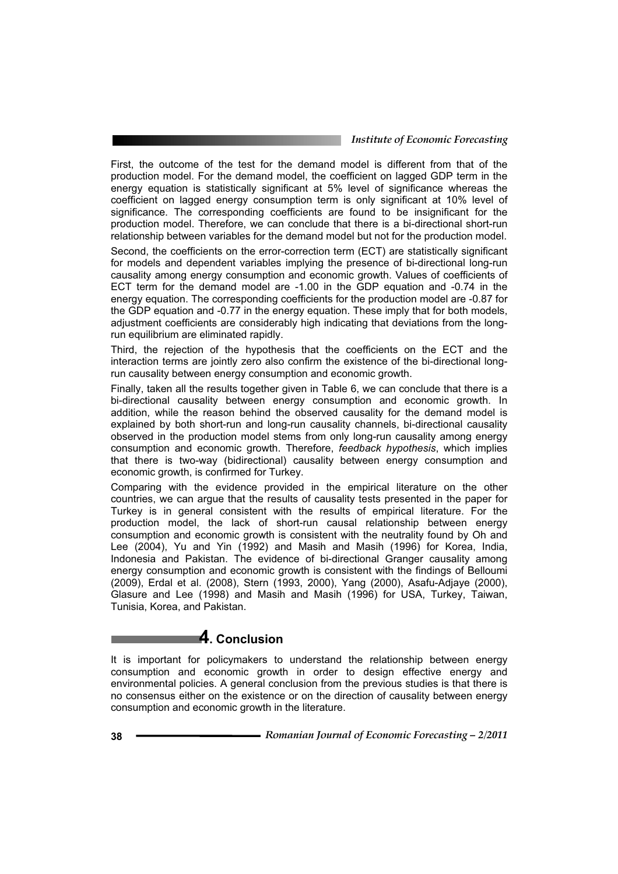#### *Institute of Economic Forecasting*

First, the outcome of the test for the demand model is different from that of the production model. For the demand model, the coefficient on lagged GDP term in the energy equation is statistically significant at 5% level of significance whereas the coefficient on lagged energy consumption term is only significant at 10% level of significance. The corresponding coefficients are found to be insignificant for the production model. Therefore, we can conclude that there is a bi-directional short-run relationship between variables for the demand model but not for the production model.

Second, the coefficients on the error-correction term (ECT) are statistically significant for models and dependent variables implying the presence of bi-directional long-run causality among energy consumption and economic growth. Values of coefficients of ECT term for the demand model are -1.00 in the GDP equation and -0.74 in the energy equation. The corresponding coefficients for the production model are -0.87 for the GDP equation and -0.77 in the energy equation. These imply that for both models, adjustment coefficients are considerably high indicating that deviations from the longrun equilibrium are eliminated rapidly.

Third, the rejection of the hypothesis that the coefficients on the ECT and the interaction terms are jointly zero also confirm the existence of the bi-directional longrun causality between energy consumption and economic growth.

Finally, taken all the results together given in Table 6, we can conclude that there is a bi-directional causality between energy consumption and economic growth. In addition, while the reason behind the observed causality for the demand model is explained by both short-run and long-run causality channels, bi-directional causality observed in the production model stems from only long-run causality among energy consumption and economic growth. Therefore, *feedback hypothesis*, which implies that there is two-way (bidirectional) causality between energy consumption and economic growth, is confirmed for Turkey.

Comparing with the evidence provided in the empirical literature on the other countries, we can argue that the results of causality tests presented in the paper for Turkey is in general consistent with the results of empirical literature. For the production model, the lack of short-run causal relationship between energy consumption and economic growth is consistent with the neutrality found by Oh and Lee (2004), Yu and Yin (1992) and Masih and Masih (1996) for Korea, India, Indonesia and Pakistan. The evidence of bi-directional Granger causality among energy consumption and economic growth is consistent with the findings of Belloumi (2009), Erdal et al. (2008), Stern (1993, 2000), Yang (2000), Asafu-Adjaye (2000), Glasure and Lee (1998) and Masih and Masih (1996) for USA, Turkey, Taiwan, Tunisia, Korea, and Pakistan.

# **4. Conclusion**

It is important for policymakers to understand the relationship between energy consumption and economic growth in order to design effective energy and environmental policies. A general conclusion from the previous studies is that there is no consensus either on the existence or on the direction of causality between energy consumption and economic growth in the literature.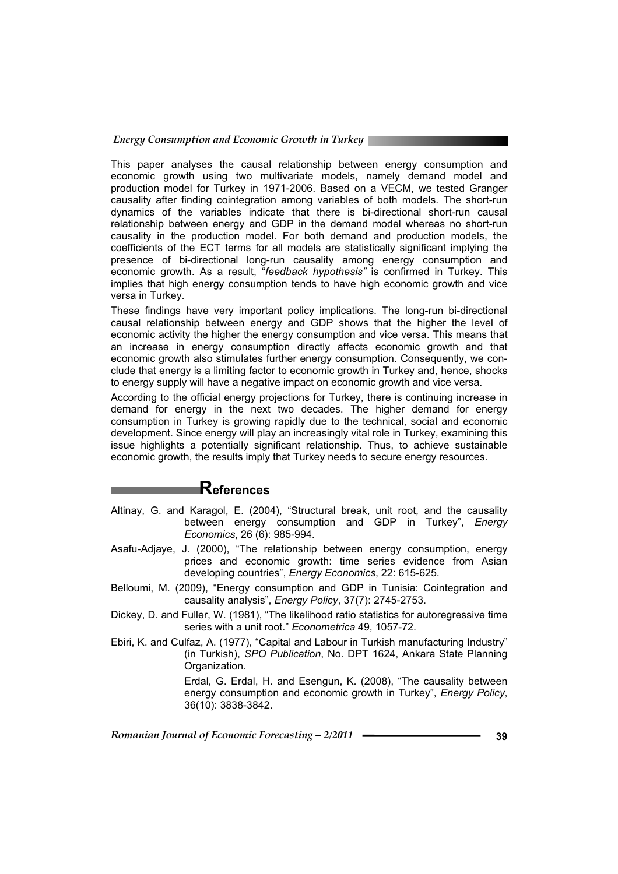#### *Energy Consumption and Economic Growth in Turkey*

This paper analyses the causal relationship between energy consumption and economic growth using two multivariate models, namely demand model and production model for Turkey in 1971-2006. Based on a VECM, we tested Granger causality after finding cointegration among variables of both models. The short-run dynamics of the variables indicate that there is bi-directional short-run causal relationship between energy and GDP in the demand model whereas no short-run causality in the production model. For both demand and production models, the coefficients of the ECT terms for all models are statistically significant implying the presence of bi-directional long-run causality among energy consumption and economic growth. As a result, "*feedback hypothesis"* is confirmed in Turkey. This implies that high energy consumption tends to have high economic growth and vice versa in Turkey.

These findings have very important policy implications. The long-run bi-directional causal relationship between energy and GDP shows that the higher the level of economic activity the higher the energy consumption and vice versa. This means that an increase in energy consumption directly affects economic growth and that economic growth also stimulates further energy consumption. Consequently, we conclude that energy is a limiting factor to economic growth in Turkey and, hence, shocks to energy supply will have a negative impact on economic growth and vice versa.

According to the official energy projections for Turkey, there is continuing increase in demand for energy in the next two decades. The higher demand for energy consumption in Turkey is growing rapidly due to the technical, social and economic development. Since energy will play an increasingly vital role in Turkey, examining this issue highlights a potentially significant relationship. Thus, to achieve sustainable economic growth, the results imply that Turkey needs to secure energy resources.

# **References**

- Altinay, G. and Karagol, E. (2004), "Structural break, unit root, and the causality between energy consumption and GDP in Turkey", *Energy Economics*, 26 (6): 985-994.
- Asafu-Adjaye, J. (2000), "The relationship between energy consumption, energy prices and economic growth: time series evidence from Asian developing countries", *Energy Economics*, 22: 615-625.
- Belloumi, M. (2009), "Energy consumption and GDP in Tunisia: Cointegration and causality analysis", *Energy Policy*, 37(7): 2745-2753.
- Dickey, D. and Fuller, W. (1981), "The likelihood ratio statistics for autoregressive time series with a unit root." *Econometrica* 49, 1057-72.
- Ebiri, K. and Culfaz, A. (1977), "Capital and Labour in Turkish manufacturing Industry" (in Turkish), *SPO Publication*, No. DPT 1624, Ankara State Planning Organization.

Erdal, G. Erdal, H. and Esengun, K. (2008), "The causality between energy consumption and economic growth in Turkey", *Energy Policy*, 36(10): 3838-3842.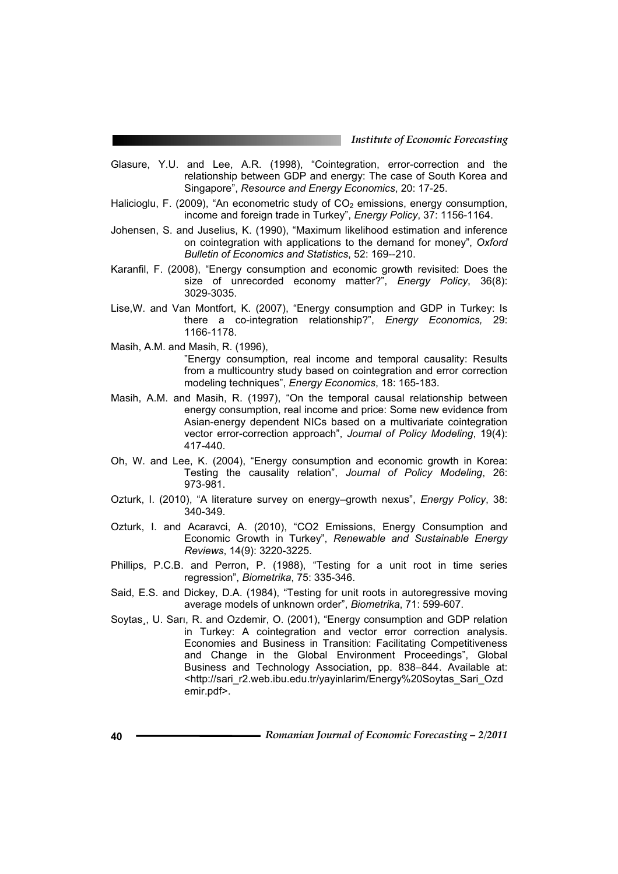- Glasure, Y.U. and Lee, A.R. (1998), "Cointegration, error-correction and the relationship between GDP and energy: The case of South Korea and Singapore", *Resource and Energy Economics*, 20: 17-25.
- Halicioglu, F. (2009), "An econometric study of  $CO<sub>2</sub>$  emissions, energy consumption, income and foreign trade in Turkey", *Energy Policy*, 37: 1156-1164.
- Johensen, S. and Juselius, K. (1990), "Maximum likelihood estimation and inference on cointegration with applications to the demand for money", *Oxford Bulletin of Economics and Statistics*, 52: 169--210.
- Karanfil, F. (2008), "Energy consumption and economic growth revisited: Does the size of unrecorded economy matter?", *Energy Policy*, 36(8): 3029-3035.
- Lise,W. and Van Montfort, K. (2007), "Energy consumption and GDP in Turkey: Is there a co-integration relationship?", *Energy Economics,* 29: 1166-1178.

Masih, A.M. and Masih, R. (1996),

"Energy consumption, real income and temporal causality: Results from a multicountry study based on cointegration and error correction modeling techniques", *Energy Economics*, 18: 165-183.

- Masih, A.M. and Masih, R. (1997), "On the temporal causal relationship between energy consumption, real income and price: Some new evidence from Asian-energy dependent NICs based on a multivariate cointegration vector error-correction approach", *Journal of Policy Modeling*, 19(4): 417-440.
- Oh, W. and Lee, K. (2004), "Energy consumption and economic growth in Korea: Testing the causality relation", *Journal of Policy Modeling*, 26: 973-981.
- Ozturk, I. (2010), "A literature survey on energy–growth nexus", *Energy Policy*, 38: 340-349.
- Ozturk, I. and Acaravci, A. (2010), "CO2 Emissions, Energy Consumption and Economic Growth in Turkey", *Renewable and Sustainable Energy Reviews*, 14(9): 3220-3225.
- Phillips, P.C.B. and Perron, P. (1988), "Testing for a unit root in time series regression", *Biometrika*, 75: 335-346.
- Said, E.S. and Dickey, D.A. (1984), "Testing for unit roots in autoregressive moving average models of unknown order", *Biometrika*, 71: 599-607.
- Soytas,, U. Sari, R. and Ozdemir, O. (2001), "Energy consumption and GDP relation in Turkey: A cointegration and vector error correction analysis. Economies and Business in Transition: Facilitating Competitiveness and Change in the Global Environment Proceedings", Global Business and Technology Association, pp. 838–844. Available at: <http://sari\_r2.web.ibu.edu.tr/yayinlarim/Energy%20Soytas\_Sari\_Ozd emir.pdf>.